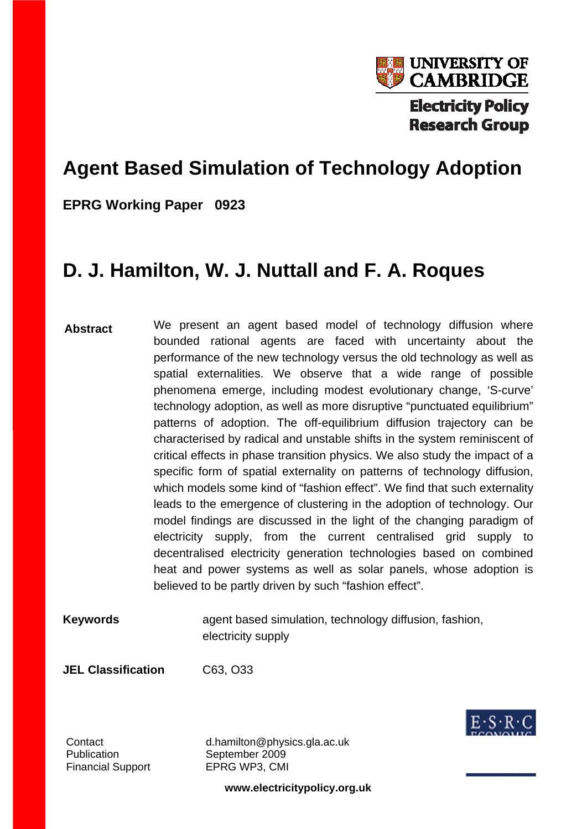

# **Agent Based Simulation of Technology Adoption**

**EPRG Working Paper 0923**

# **D. J. Hamilton, W. J. Nuttall and F. A. Roques**

- **Abstract**  We present an agent based model of technology diffusion where bounded rational agents are faced with uncertainty about the performance of the new technology versus the old technology as well as spatial externalities. We observe that a wide range of possible phenomena emerge, including modest evolutionary change, 'S-curve' technology adoption, as well as more disruptive "punctuated equilibrium" patterns of adoption. The off-equilibrium diffusion trajectory can be characterised by radical and unstable shifts in the system reminiscent of critical effects in phase transition physics. We also study the impact of a specific form of spatial externality on patterns of technology diffusion, which models some kind of "fashion effect". We find that such externality leads to the emergence of clustering in the adoption of technology. Our model findings are discussed in the light of the changing paradigm of electricity supply, from the current centralised grid supply to decentralised electricity generation technologies based on combined heat and power systems as well as solar panels, whose adoption is believed to be partly driven by such "fashion effect".
- **Keywords** agent based simulation, technology diffusion, fashion, electricity supply

**JEL Classification** C63, O33



Publication September 2009 Financial Support EPRG WP3, CMI

Contact d.hamilton@physics.gla.ac.uk

**www.electricitypolicy.org.uk**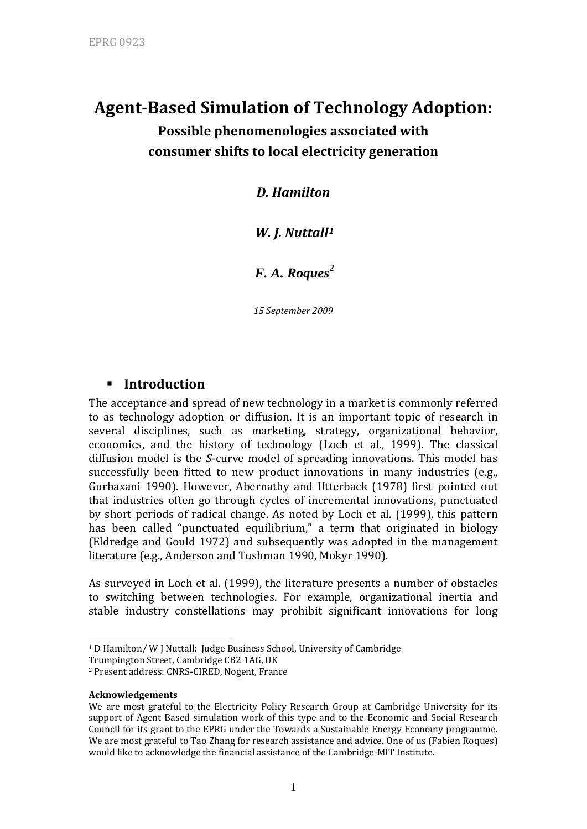## **AgentBased Simulation of Technology Adoption:**

**Possible phenomenologies associated with consumer shifts to local electricity generation**

*D. Hamilton*

## *W. J. Nuttall[1](#page-1-0)*

*F. A. Roques[2](#page-1-1)*

*15 September 2009*

## **Introduction**

The acceptance and spread of new technology in a market is commonly referred to as technology adoption or diffusion. It is an important topic of research in several disciplines, such as marketing, strategy, organizational behavior, economics, and the history of technology (Loch et al., 1999). The classical diffusion model is the *S*‐curve model of spreading innovations. This model has successfully been fitted to new product innovations in many industries (e.g., Gurbaxani 1990). However, Abernathy and Utterback (1978) first pointed out that industries often go through cycles of incremental innovations, punctuated by short periods of radical change. As noted by Loch et al. (1999), this pattern has been called "punctuated equilibrium," a term that originated in biology (Eldredge and Gould 1972) and subsequently was adopted in the management literature (e.g., Anderson and Tushman 1990, Mokyr 1990).

As surveyed in Loch et al. (1999), the literature presents a number of obstacles to switching between technologies. For example, organizational inertia and stable industry constellations may prohibit significant innovations for long

1

<span id="page-1-0"></span><sup>&</sup>lt;sup>1</sup> D Hamilton/ W J Nuttall: Judge Business School, University of Cambridge

Trumpington Street, Cambridge CB2 1AG, UK

<span id="page-1-1"></span><sup>2</sup> Present address: CNRS‐CIRED, Nogent, France

**Acknowledgements**

We are most grateful to the Electricity Policy Research Group at Cambridge University for its support of Agent Based simulation work of this type and to the Economic and Social Research Council for its grant to the EPRG under the Towards a Sustainable Energy Economy programme. We are most grateful to Tao Zhang for research assistance and advice. One of us (Fabien Roques) would like to acknowledge the financial assistance of the Cambridge‐MIT Institute.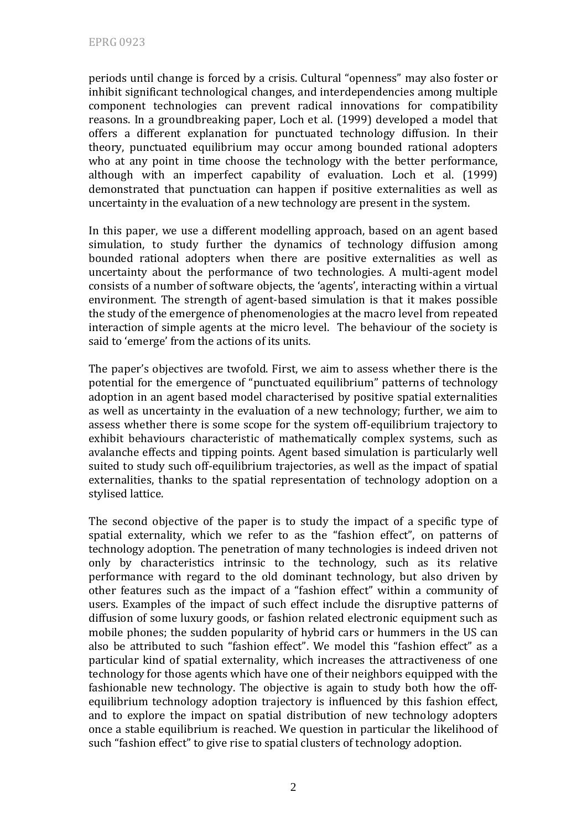periods until change is forced by a crisis. Cultural "openness" may also foster or inhibit significant technological changes, and interdependencies among multiple component technologies can prevent radical innovations for compatibility reasons. In a groundbreaking paper, Loch et al. (1999) developed a model that offers a different explanation for punctuated technology diffusion. In their theory, punctuated equilibrium may occur among bounded rational adopters who at any point in time choose the technology with the better performance, although with an imperfect capability of evaluation. Loch et al. (1999) demonstrated that punctuation can happen if positive externalities as well as uncertainty in the evaluation of a new technology are present in the system.

In this paper, we use a different modelling approach, based on an agent based simulation, to study further the dynamics of technology diffusion among bounded rational adopters when there are positive externalities as well as uncertainty about the performance of two technologies. A multi‐agent model consists of a number of software objects, the 'agents', interacting within a virtual environment. The strength of agent-based simulation is that it makes possible the study of the emergence of phenomenologies at the macro level from repeated interaction of simple agents at the micro level. The behaviour of the society is said to 'emerge' from the actions of its units.

The paper's objectives are twofold. First, we aim to assess whether there is the potential for the emergence of "punctuated equilibrium" patterns of technology adoption in an agent based model characterised by positive spatial externalities as well as uncertainty in the evaluation of a new technology; further, we aim to assess whether there is some scope for the system off‐equilibrium trajectory to exhibit behaviours characteristic of mathematically complex systems, such as avalanche effects and tipping points. Agent based simulation is particularly well suited to study such off‐equilibrium trajectories, as well as the impact of spatial externalities, thanks to the spatial representation of technology adoption on a stylised lattice.

The second objective of the paper is to study the impact of a specific type of spatial externality, which we refer to as the "fashion effect", on patterns of technology adoption. The penetration of many technologies is indeed driven not only by characteristics intrinsic to the technology, such as its relative performance with regard to the old dominant technology, but also driven by other features such as the impact of a "fashion effect" within a community of users. Examples of the impact of such effect include the disruptive patterns of diffusion of some luxury goods, or fashion related electronic equipment such as mobile phones; the sudden popularity of hybrid cars or hummers in the US can also be attributed to such "fashion effect". We model this "fashion effect" as a particular kind of spatial externality, which increases the attractiveness of one technology for those agents which have one of their neighbors equipped with the fashionable new technology. The objective is again to study both how the offequilibrium technology adoption trajectory is influenced by this fashion effect, and to explore the impact on spatial distribution of new technology adopters once a stable equilibrium is reached. We question in particular the likelihood of such "fashion effect" to give rise to spatial clusters of technology adoption.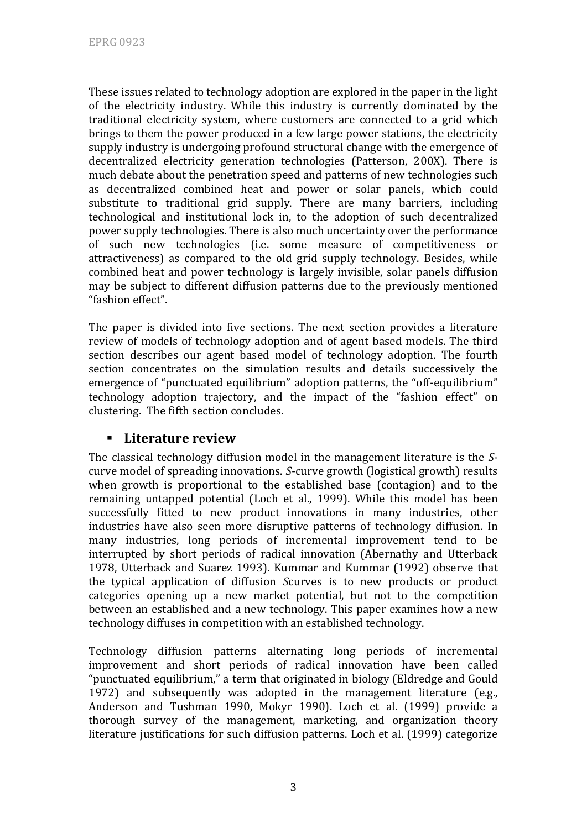These issues related to technology adoption are explored in the paper in the light of the electricity industry. While this industry is currently dominated by the traditional electricity system, where customers are connected to a grid which brings to them the power produced in a few large power stations, the electricity supply industry is undergoing profound structural change with the emergence of decentralized electricity generation technologies (Patterson, 200X). There is much debate about the penetration speed and patterns of new technologies such as decentralized combined heat and power or solar panels, which could substitute to traditional grid supply. There are many barriers, including technological and institutional lock in, to the adoption of such decentralized power supply technologies. There is also much uncertainty over the performance of such new technologies (i.e. some measure of competitiveness or attractiveness) as compared to the old grid supply technology. Besides, while combined heat and power technology is largely invisible, solar panels diffusion may be subject to different diffusion patterns due to the previously mentioned "fashion effect".

The paper is divided into five sections. The next section provides a literature review of models of technology adoption and of agent based models. The third section describes our agent based model of technology adoption. The fourth section concentrates on the simulation results and details successively the emergence of "punctuated equilibrium" adoption patterns, the "off-equilibrium" technology adoption trajectory, and the impact of the "fashion effect" on clustering. The fifth section concludes.

## **Literature review**

The classical technology diffusion model in the management literature is the *S*‐ curve model of spreading innovations. *S*‐curve growth (logistical growth) results when growth is proportional to the established base (contagion) and to the remaining untapped potential (Loch et al., 1999). While this model has been successfully fitted to new product innovations in many industries, other industries have also seen more disruptive patterns of technology diffusion. In many industries, long periods of incremental improvement tend to be interrupted by short periods of radical innovation (Abernathy and Utterback 1978, Utterback and Suarez 1993). Kummar and Kummar (1992) observe that the typical application of diffusion *S*curves is to new products or product categories opening up a new market potential, but not to the competition between an established and a new technology. This paper examines how a new technology diffuses in competition with an established technology.

Technology diffusion patterns alternating long periods of incremental improvement and short periods of radical innovation have been called "punctuated equilibrium," a term that originated in biology (Eldredge and Gould 1972) and subsequently was adopted in the management literature (e.g., Anderson and Tushman 1990, Mokyr 1990). Loch et al. (1999) provide a thorough survey of the management, marketing, and organization theory literature justifications for such diffusion patterns. Loch et al. (1999) categorize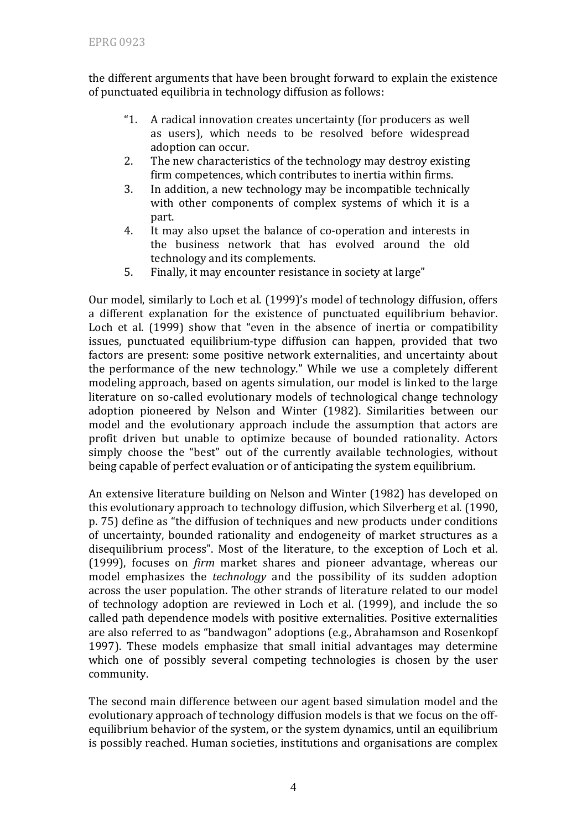the different arguments that have been brought forward to explain the existence of punctuated equilibria in technology diffusion as follows:

- "1. A radical innovation creates uncertainty (for producers as well as users), which needs to be resolved before widespread adoption can occur.
- 2. The new characteristics of the technology may destroy existing firm competences, which contributes to inertia within firms.
- 3. In addition, a new technology may be incompatible technically with other components of complex systems of which it is a part.
- 4. It may also upset the balance of co-operation and interests in the business network that has evolved around the old technology and its complements.
- 5. Finally, it may encounter resistance in society at large"

Our model, similarly to Loch et al. (1999)'s model of technology diffusion, offers a different explanation for the existence of punctuated equilibrium behavior. Loch et al. (1999) show that "even in the absence of inertia or compatibility issues, punctuated equilibrium-type diffusion can happen, provided that two factors are present: some positive network externalities, and uncertainty about the performance of the new technology." While we use a completely different modeling approach, based on agents simulation, our model is linked to the large literature on so-called evolutionary models of technological change technology adoption pioneered by Nelson and Winter (1982). Similarities between our model and the evolutionary approach include the assumption that actors are profit driven but unable to optimize because of bounded rationality. Actors simply choose the "best" out of the currently available technologies, without being capable of perfect evaluation or of anticipating the system equilibrium.

An extensive literature building on Nelson and Winter (1982) has developed on this evolutionary approach to technology diffusion, which Silverberg et al. (1990, p. 75) define as "the diffusion of techniques and new products under conditions of uncertainty, bounded rationality and endogeneity of market structures as a disequilibrium process". Most of the literature, to the exception of Loch et al. (1999), focuses on *firm* market shares and pioneer advantage, whereas our model emphasizes the *technology* and the possibility of its sudden adoption across the user population. The other strands of literature related to our model of technology adoption are reviewed in Loch et al. (1999), and include the so called path dependence models with positive externalities. Positive externalities are also referred to as "bandwagon" adoptions (e.g., Abrahamson and Rosenkopf 1997). These models emphasize that small initial advantages may determine which one of possibly several competing technologies is chosen by the user community.

The second main difference between our agent based simulation model and the evolutionary approach of technology diffusion models is that we focus on the off‐ equilibrium behavior of the system, or the system dynamics, until an equilibrium is possibly reached. Human societies, institutions and organisations are complex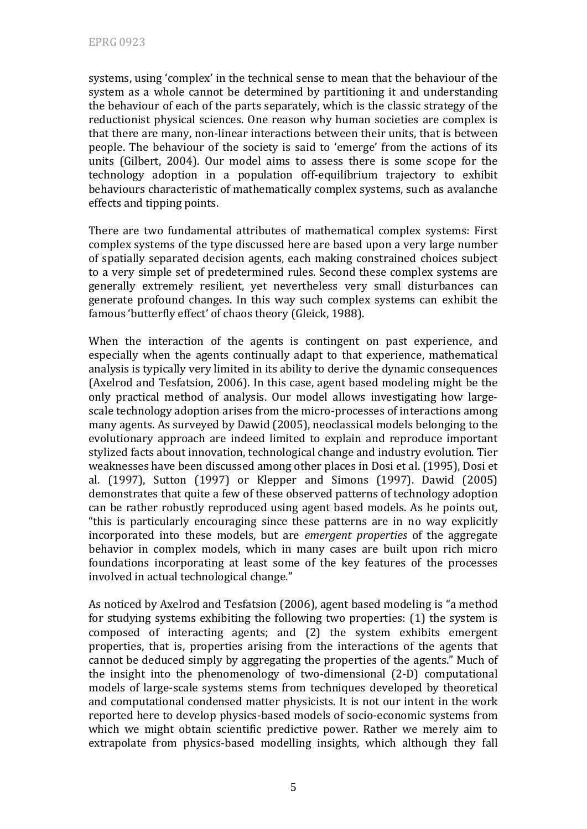systems, using 'complex' in the technical sense to mean that the behaviour of the system as a whole cannot be determined by partitioning it and understanding the behaviour of each of the parts separately, which is the classic strategy of the reductionist physical sciences. One reason why human societies are complex is that there are many, non‐linear interactions between their units, that is between people. The behaviour of the society is said to 'emerge' from the actions of its units (Gilbert, 2004). Our model aims to assess there is some scope for the technology adoption in a population off-equilibrium trajectory to exhibit behaviours characteristic of mathematically complex systems, such as avalanche effects and tipping points.

There are two fundamental attributes of mathematical complex systems: First complex systems of the type discussed here are based upon a very large number of spatially separated decision agents, each making constrained choices subject to a very simple set of predetermined rules. Second these complex systems are generally extremely resilient, yet nevertheless very small disturbances can generate profound changes. In this way such complex systems can exhibit the famous 'butterfly effect' of chaos theory (Gleick, 1988).

When the interaction of the agents is contingent on past experience, and especially when the agents continually adapt to that experience, mathematical analysis is typically very limited in its ability to derive the dynamic consequences (Axelrod and Tesfatsion, 2006). In this case, agent based modeling might be the only practical method of analysis. Our model allows investigating how large‐ scale technology adoption arises from the micro-processes of interactions among many agents. As surveyed by Dawid (2005), neoclassical models belonging to the evolutionary approach are indeed limited to explain and reproduce important stylized facts about innovation, technological change and industry evolution. Tier weaknesses have been discussed among other places in Dosi et al. (1995), Dosi et al. (1997), Sutton (1997) or Klepper and Simons (1997). Dawid (2005) demonstrates that quite a few of these observed patterns of technology adoption can be rather robustly reproduced using agent based models. As he points out, "this is particularly encouraging since these patterns are in no way explicitly incorporated into these models, but are *emergent properties* of the aggregate behavior in complex models, which in many cases are built upon rich micro foundations incorporating at least some of the key features of the processes involved in actual technological change."

As noticed by Axelrod and Tesfatsion (2006), agent based modeling is "a method for studying systems exhibiting the following two properties: (1) the system is composed of interacting agents; and (2) the system exhibits emergent properties, that is, properties arising from the interactions of the agents that cannot be deduced simply by aggregating the properties of the agents." Much of the insight into the phenomenology of two‐dimensional (2‐D) computational models of large‐scale systems stems from techniques developed by theoretical and computational condensed matter physicists. It is not our intent in the work reported here to develop physics‐based models of socio‐economic systems from which we might obtain scientific predictive power. Rather we merely aim to extrapolate from physics-based modelling insights, which although they fall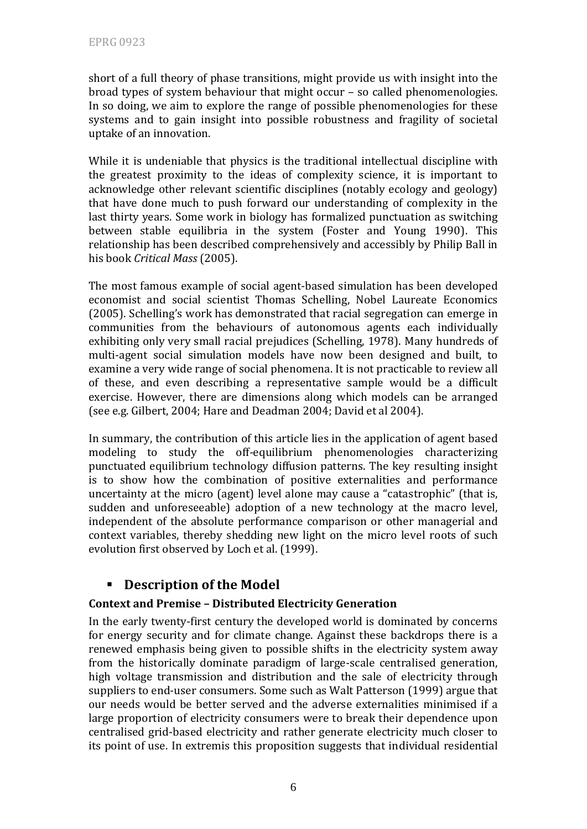short of a full theory of phase transitions, might provide us with insight into the broad types of system behaviour that might occur – so called phenomenologies. In so doing, we aim to explore the range of possible phenomenologies for these systems and to gain insight into possible robustness and fragility of societal uptake of an innovation.

While it is undeniable that physics is the traditional intellectual discipline with the greatest proximity to the ideas of complexity science, it is important to acknowledge other relevant scientific disciplines (notably ecology and geology) that have done much to push forward our understanding of complexity in the last thirty years. Some work in biology has formalized punctuation as switching between stable equilibria in the system (Foster and Young 1990). This relationship has been described comprehensively and accessibly by Philip Ball in his book *Critical Mass* (2005).

The most famous example of social agent‐based simulation has been developed economist and social scientist Thomas Schelling, Nobel Laureate Economics (2005). Schelling's work has demonstrated that racial segregation can emerge in communities from the behaviours of autonomous agents each individually exhibiting only very small racial prejudices (Schelling, 1978). Many hundreds of multi-agent social simulation models have now been designed and built, to examine a very wide range of social phenomena. It is not practicable to review all of these, and even describing a representative sample would be a difficult exercise. However, there are dimensions along which models can be arranged (see e.g. Gilbert, 2004; Hare and Deadman 2004; David et al 2004).

In summary, the contribution of this article lies in the application of agent based modeling to study the off‐equilibrium phenomenologies characterizing punctuated equilibrium technology diffusion patterns. The key resulting insight is to show how the combination of positive externalities and performance uncertainty at the micro (agent) level alone may cause a "catastrophic" (that is, sudden and unforeseeable) adoption of a new technology at the macro level, independent of the absolute performance comparison or other managerial and context variables, thereby shedding new light on the micro level roots of such evolution first observed by Loch et al. (1999).

## **Description of the Model**

### **Context and Premise – Distributed Electricity Generation**

In the early twenty‐first century the developed world is dominated by concerns for energy security and for climate change. Against these backdrops there is a renewed emphasis being given to possible shifts in the electricity system away from the historically dominate paradigm of large-scale centralised generation, high voltage transmission and distribution and the sale of electricity through suppliers to end‐user consumers. Some such as Walt Patterson (1999) argue that our needs would be better served and the adverse externalities minimised if a large proportion of electricity consumers were to break their dependence upon centralised grid‐based electricity and rather generate electricity much closer to its point of use. In extremis this proposition suggests that individual residential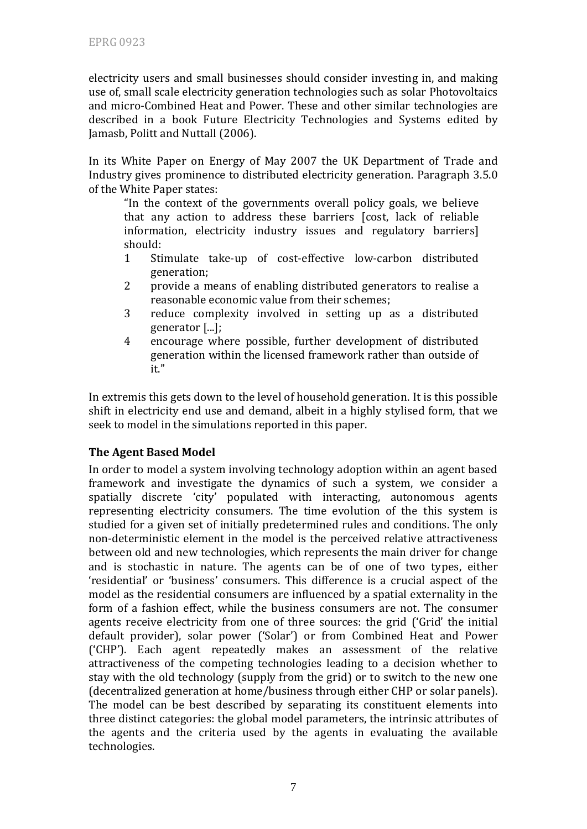electricity users and small businesses should consider investing in, and making use of, small scale electricity generation technologies such as solar Photovoltaics and micro‐Combined Heat and Power. These and other similar technologies are described in a book Future Electricity Technologies and Systems edited by Jamasb, Politt and Nuttall (2006).

In its White Paper on Energy of May 2007 the UK Department of Trade and Industry gives prominence to distributed electricity generation. Paragraph 3.5.0 of the W hite Paper states:

"In the context of the governments overall policy goals, we believe that any action to address these barriers [cost, lack of reliable information, electricity industry issues and regulatory barriers] should:

- 1 Stimulate take‐up of cost‐effective low‐carbon distributed generation;
- 2 provide a means of enabling distributed generators to realise a reasonable economic value from their schemes;
- 3 reduce complexity involved in setting up as a distributed generator [...];
- 4 encourage where possible, further development of distributed generation within the licensed framework rather than outside of it."

In extremis this gets down to the level of household generation. It is this possible shift in electricity end use and demand, albeit in a highly stylised form, that we seek to model in the simulations reported in this paper.

### **The Agent Based Model**

In order to model a system involving technology adoption within an agent based framework and investigate the dynamics of such a system, we consider a spatially discrete 'city' populated with interacting, autonomous agents representing electricity consumers. The time evolution of the this system is studied for a given set of initially predetermined rules and conditions. The only non‐deterministic element in the model is the perceived relative attractiveness between old and new technologies, which represents the main driver for change and is stochastic in nature. The agents can be of one of two types, either 'residential' or 'business' consumers. This difference is a crucial aspect of the model as the residential consumers are influenced by a spatial externality in the form of a fashion effect, while the business consumers are not. The consumer agents receive electricity from one of three sources: the grid ('Grid' the initial default provider), solar power ('Solar') or from Combined Heat and Power ('CHP'). Each agent repeatedly makes an assessment of the relative attractiveness of the competing technologies leading to a decision whether to stay with the old technology (supply from the grid) or to switch to the new one (decentralized generation at home/business through either CHP or solar panels). The model can be best described by separating its constituent elements into three distinct categories: the global model parameters, the intrinsic attributes of the agents and the criteria used by the agents in evaluating the available technologies.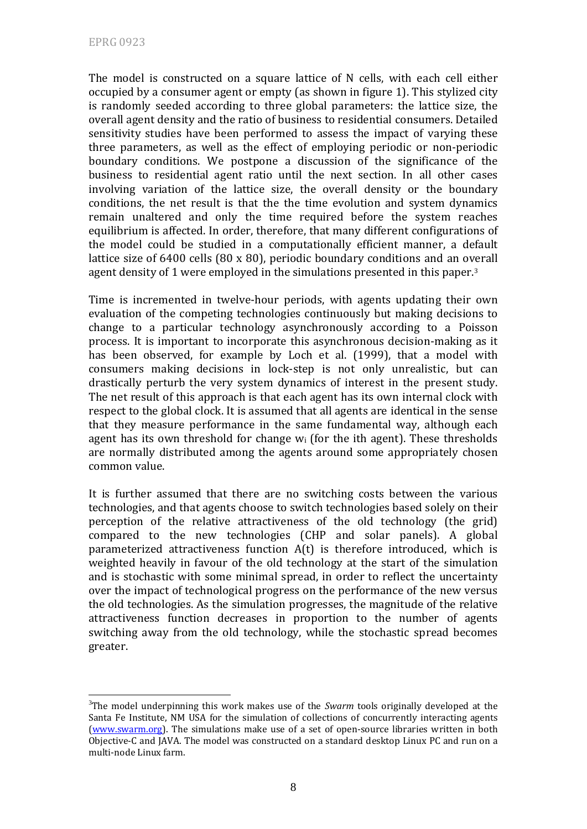The model is constructed on a square lattice of N cells, with each cell either occupied by a consumer agent or empty (as shown in figure 1). This stylized city is randomly seeded according to three global parameters: the lattice size, the overall agent density and the ratio of business to residential consumers. Detailed sensitivity studies have been performed to assess the impact of varying these three parameters, as well as the effect of employing periodic or non‐periodic boundary conditions. We postpone a discussion of the significance of the business to residential agent ratio until the next section. In all other cases involving variation of the lattice size, the overall density or the boundary conditions, the net result is that the the time evolution and system dynamics remain unaltered and only the time required before the system reaches equilibrium is affected. In order, therefore, that many different configurations of the model could be studied in a computationally efficient manner, a default lattice size of 6400 cells (80 x 80), periodic boundary conditions and an overall agent density of 1 were employed in the simulations presented in this paper.3

Time is incremented in twelve-hour periods, with agents updating their own evaluation of the competing technologies continuously but making decisions to change to a particular technology asynchronously according to a Poisson process. It is important to incorporate this asynchronous decision‐making as it has been observed, for example by Loch et al. (1999), that a model with consumers making decisions in lock‐step is not only unrealistic, but can drastically perturb the very system dynamics of interest in the present study. The net result of this approach is that each agent has its own internal clock with respect to the global clock. It is assumed that all agents are identical in the sense that they measure performance in the same fundamental way, although each agent has its own threshold for change  $w_i$  (for the ith agent). These thresholds are normally distributed among the agents around some appropriately chosen common value.

It is further assumed that there are no switching costs between the various technologies, and that agents choose to switch technologies based solely on their perception of the relative attractiveness of the old technology (the grid) compared to the new technologies (CHP and solar panels). A global parameterized attractiveness function A(t) is therefore introduced, which is weighted heavily in favour of the old technology at the start of the simulation and is stochastic with some minimal spread, in order to reflect the uncertainty over the impact of technological progress on the performance of the new versus the old technologies. As the simulation progresses, the magnitude of the relative attractiveness function decreases in proportion to the number of agents switching away from the old technology, while the stochastic spread becomes greater.

<sup>&</sup>lt;u>.</u> <sup>3</sup>The model underpinning this work makes use of the *Swarm* tools originally developed at the Santa Fe Institute, NM USA for the simulation of collections of concurrently interacting agents ([www.swarm.org\)](http://www.swarm.org/). The simulations make use of a set of open‐source libraries written in both Objective‐C and JAVA. The model was constructed on a standard desktop Linux PC and run on a multi‐node Linux farm.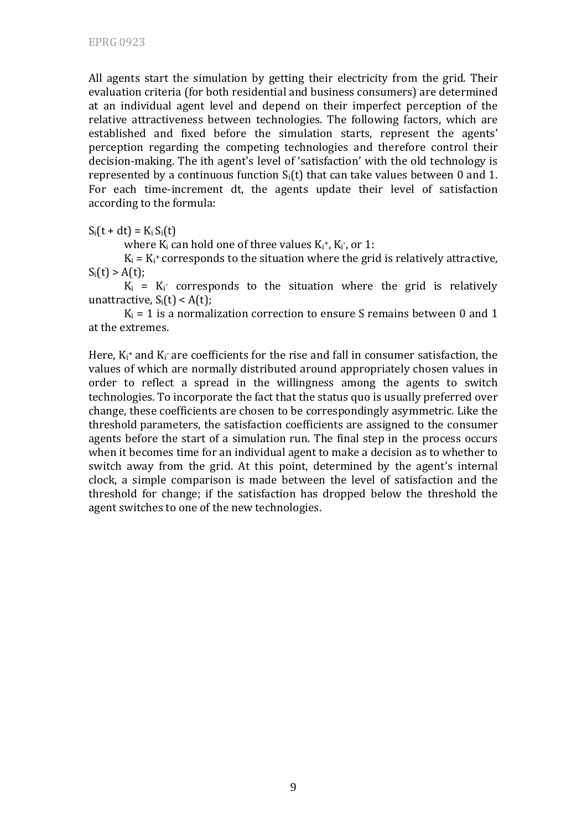All agents start the simulation by getting their electricity from the grid. Their evaluation criteria (for both residential and business consumers) are determined at an individual agent level and depend on their imperfect perception of the relative attractiveness between technologies. The following factors, which are established and fixed before the simulation starts, represent the agents' perception regarding the competing technologies and therefore control their decision‐making. The ith agent's level of 'satisfaction' with the old technology is represented by a continuous function  $S_i(t)$  that can take values between 0 and 1. For each time-increment dt, the agents update their level of satisfaction according to the formula:

 $S_i(t + dt) = K_i S_i(t)$ 

where  $K_i$  can hold one of three values  $K_i^*$ ,  $K_i^*$ , or 1:

 $K_i = K_i$ <sup>+</sup> corresponds to the situation where the grid is relatively attractive,  $S_i(t) > A(t);$ 

 $K_i$  =  $K_i$  corresponds to the situation where the grid is relatively unattractive,  $S_i(t) < A(t)$ ;

 $K_i = 1$  is a normalization correction to ensure S remains between 0 and 1 at the extremes.

Here,  $K_i^+$  and  $K_i^-$  are coefficients for the rise and fall in consumer satisfaction, the values of which are normally distributed around appropriately chosen values in order to reflect a spread in the willingness among the agents to switch technologies. To incorporate the fact that the status quo is usually preferred over change, these coefficients are chosen to be correspondingly asymmetric. Like the threshold parameters, the satisfaction coefficients are assigned to the consumer agents before the start of a simulation run. The final step in the process occurs when it becomes time for an individual agent to make a decision as to whether to switch away from the grid. At this point, determined by the agent's internal clock, a simple comparison is made between the level of satisfaction and the threshold for change; if the satisfaction has dropped below the threshold the agent switches to one of the new technologies.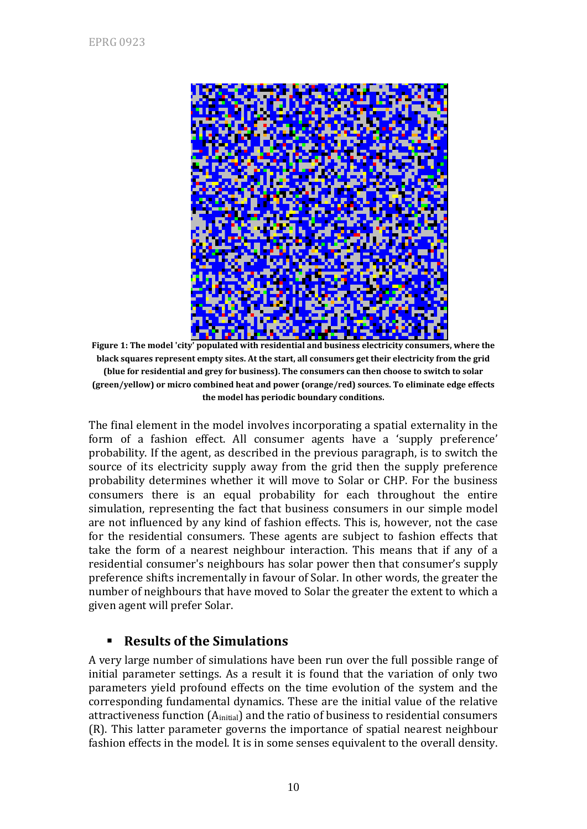

**Figure 1: The model 'city' populated with residential and business electricity consumers, where the black squares represent empty sites. At the start, all consumers get their electricity from the grid (blue for residential and grey for business). The consumers can then choose to switch to solar (green/yellow) or micro combined heat and power (orange/red) sources. To eliminate edge effects the model has periodic boundary conditions.**

The final element in the model involves incorporating a spatial externality in the form of a fashion effect. All consumer agents have a 'supply preference' probability. If the agent, as described in the previous paragraph, is to switch the source of its electricity supply away from the grid then the supply preference probability determines whether it will move to Solar or CHP. For the business consumers there is an equal probability for each throughout the entire simulation, representing the fact that business consumers in our simple model are not influenced by any kind of fashion effects. This is, however, not the case for the residential consumers. These agents are subject to fashion effects that take the form of a nearest neighbour interaction. This means that if any of a residential consumer's neighbours has solar power then that consumer's supply preference shifts incrementally in favour of Solar. In other words, the greater the number of neighbours that have moved to Solar the greater the extent to which a given agent will prefer Solar.

## **Results of the Simulations**

A very large number of simulations have been run over the full possible range of initial parameter settings. As a result it is found that the variation of only two parameters yield profound effects on the time evolution of the system and the corresponding fundamental dynamics. These are the initial value of the relative attractiveness function (A<sub>initial</sub>) and the ratio of business to residential consumers (R). This latter parameter governs the importance of spatial nearest neighbour fashion effects in the model. It is in some senses equivalent to the overall density.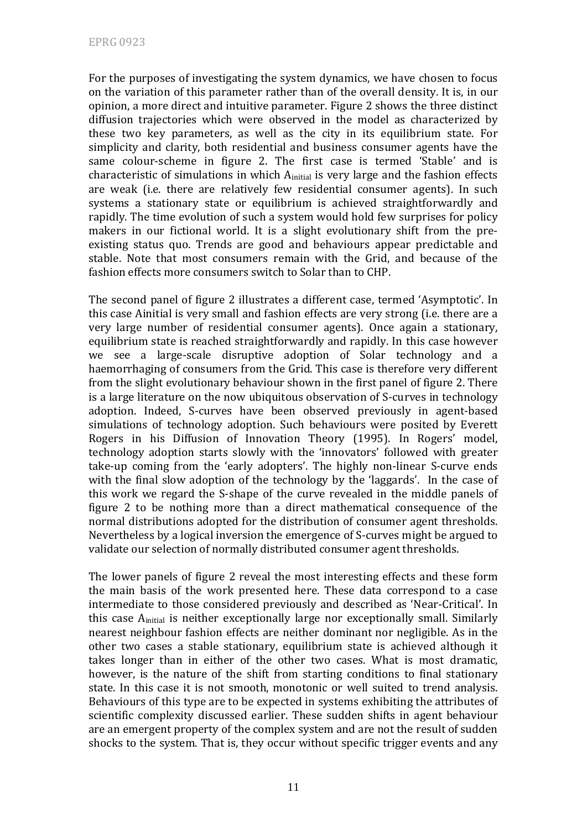For the purposes of investigating the system dynamics, we have chosen to focus on the variation of this parameter rather than of the overall density. It is, in our opinion, a more direct and intuitive parameter. Figure 2 shows the three distinct diffusion trajectories which were observed in the model as characterized by these two key parameters, as well as the city in its equilibrium state. For simplicity and clarity, both residential and business consumer agents have the same colour-scheme in figure 2. The first case is termed 'Stable' and is characteristic of simulations in which  $A<sub>initial</sub>$  is very large and the fashion effects are weak (i.e. there are relatively few residential consumer agents). In such systems a stationary state or equilibrium is achieved straightforwardly and rapidly. The time evolution of such a system would hold few surprises for policy makers in our fictional world. It is a slight evolutionary shift from the preexisting status quo. Trends are good and behaviours appear predictable and stable. Note that most consumers remain with the Grid, and because of the fashion effects more consumers switch to Solar than to CHP.

The second panel of figure 2 illustrates a different case, termed 'Asymptotic'. In this case Ainitial is very small and fashion effects are very strong (i.e. there are a very large number of residential consumer agents). Once again a stationary, equilibrium state is reached straightforwardly and rapidly. In this case however we see a large-scale disruptive adoption of Solar technology and a haemorrhaging of consumers from the Grid. This case is therefore very different from the slight evolutionary behaviour shown in the first panel of figure 2. There is a large literature on the now ubiquitous observation of S‐curves in technology adoption. Indeed, S‐curves have been observed previously in agent‐based simulations of technology adoption. Such behaviours were posited by Everett Rogers in his Diffusion of Innovation Theory (1995). In Rogers' model, technology adoption starts slowly with the 'innovators' followed with greater take‐up coming from the 'early adopters'. The highly non‐linear S‐curve ends with the final slow adoption of the technology by the 'laggards'. In the case of this work we regard the S‐shape of the curve revealed in the middle panels of figure 2 to be nothing more than a direct mathematical consequence of the normal distributions adopted for the distribution of consumer agent thresholds. Nevertheless by a logical inversion the emergence of S‐curves might be argued to validate our selection of normally distributed consumer agent thresholds.

The lower panels of figure 2 reveal the most interesting effects and these form the main basis of the work presented here. These data correspond to a case intermediate to those considered previously and described as 'Near‐Critical'. In this case A<sub>initial</sub> is neither exceptionally large nor exceptionally small. Similarly nearest neighbour fashion effects are neither dominant nor negligible. As in the other two cases a stable stationary, equilibrium state is achieved although it takes longer than in either of the other two cases. What is most dramatic, however, is the nature of the shift from starting conditions to final stationary state. In this case it is not smooth, monotonic or well suited to trend analysis. Behaviours of this type are to be expected in systems exhibiting the attributes of scientific complexity discussed earlier. These sudden shifts in agent behaviour are an emergent property of the complex system and are not the result of sudden shocks to the system. That is, they occur without specific trigger events and any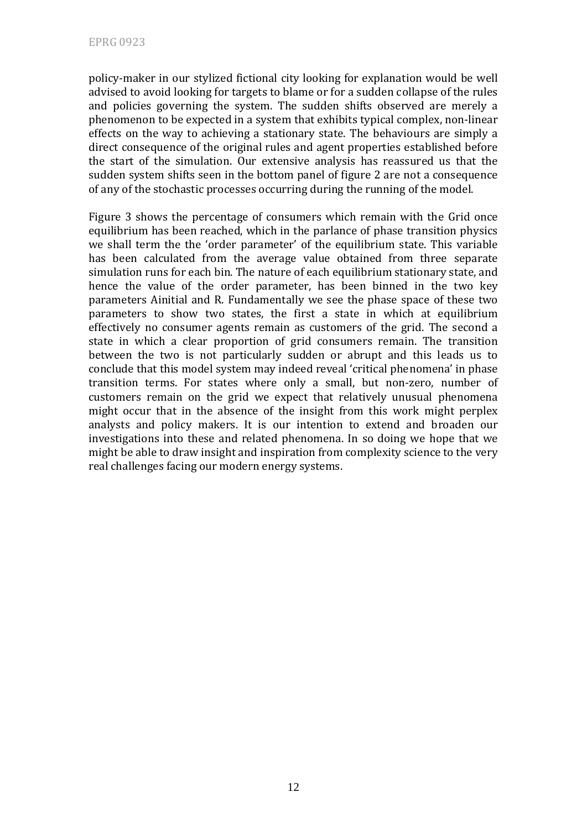policy‐maker in our stylized fictional city looking for explanation would be well advised to avoid looking for targets to blame or for a sudden collapse of the rules and policies governing the system. The sudden shifts observed are merely a phenomenon to be expected in a system that exhibits typical complex, non‐linear effects on the way to achieving a stationary state. The behaviours are simply a direct consequence of the original rules and agent properties established before the start of the simulation. Our extensive analysis has reassured us that the sudden system shifts seen in the bottom panel of figure 2 are not a consequence of any of the stochastic processes occurring during the running of the model.

Figure 3 shows the percentage of consumers which remain with the Grid once equilibrium has been reached, which in the parlance of phase transition physics we shall term the the 'order parameter' of the equilibrium state. This variable has been calculated from the average value obtained from three separate simulation runs for each bin. The nature of each equilibrium stationary state, and hence the value of the order parameter, has been binned in the two key parameters Ainitial and R. Fundamentally we see the phase space of these two parameters to show two states, the first a state in which at equilibrium effectively no consumer agents remain as customers of the grid. The second a state in which a clear proportion of grid consumers remain. The transition between the two is not particularly sudden or abrupt and this leads us to conclude that this model system may indeed reveal 'critical phenomena' in phase transition terms. For states where only a small, but non‐zero, number of customers remain on the grid we expect that relatively unusual phenomena might occur that in the absence of the insight from this work might perplex analysts and policy makers. It is our intention to extend and broaden our investigations into these and related phenomena. In so doing we hope that we might be able to draw insight and inspiration from complexity science to the very real challenges facing our modern energy systems.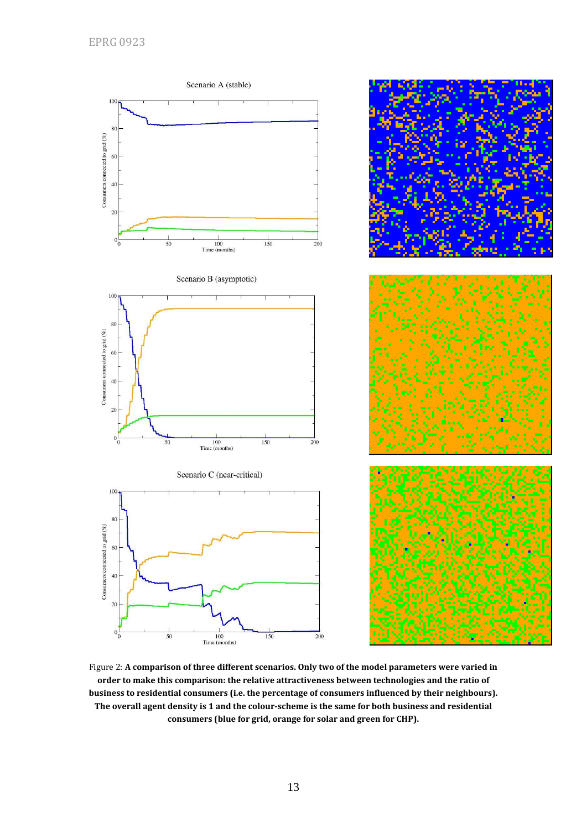

Figure 2: **A comparison of three different scenarios. Only two of the model parameters were varied in order to make this comparison: the relative attractiveness between technologies and the ratio of business to residential consumers (i.e. the percentage of consumers influenced by their neighbours). The overall agent density is 1 and the colourscheme is the same for both business and residential consumers (blue for grid, orange for solar and green for CHP).**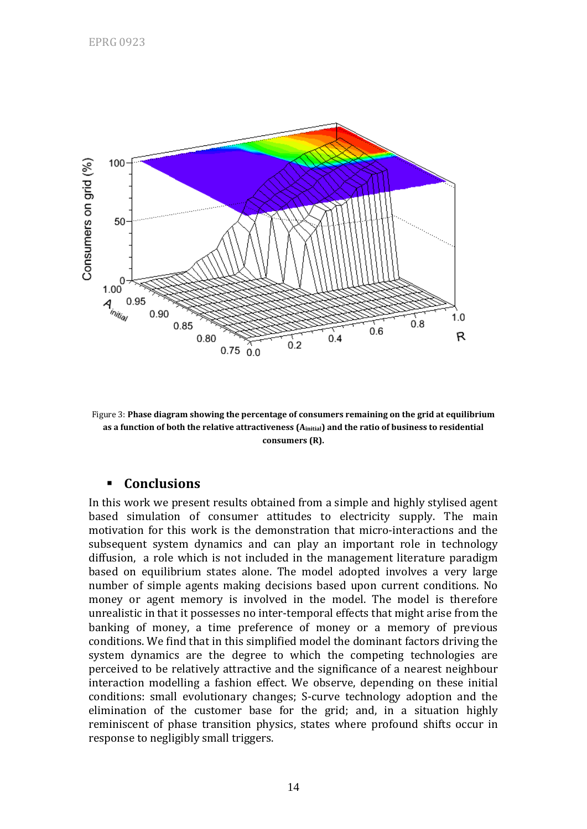

Figure 3: **Phase diagram showing the percentage of consumers remaining on the grid at equilibrium as a function of both the relative attractiveness (Ainitial) and the ratio of business to residential consumers (R).** 

## **Conclusions**

In this work we present results obtained from a simple and highly stylised agent based simulation of consumer attitudes to electricity supply. The main motivation for this work is the demonstration that micro‐interactions and the subsequent system dynamics and can play an important role in technology diffusion, a role which is not included in the management literature paradigm based on equilibrium states alone. The model adopted involves a very large number of simple agents making decisions based upon current conditions. No money or agent memory is involved in the model. The model is therefore unrealistic in that it possesses no inter‐temporal effects that might arise from the banking of money, a time preference of money or a memory of previous conditions. We find that in this simplified model the dominant factors driving the system dynamics are the degree to which the competing technologies are perceived to be relatively attractive and the significance of a nearest neighbour interaction modelling a fashion effect. We observe, depending on these initial conditions: small evolutionary changes; S‐curve technology adoption and the elimination of the customer base for the grid; and, in a situation highly reminiscent of phase transition physics, states where profound shifts occur in response to negligibly small triggers.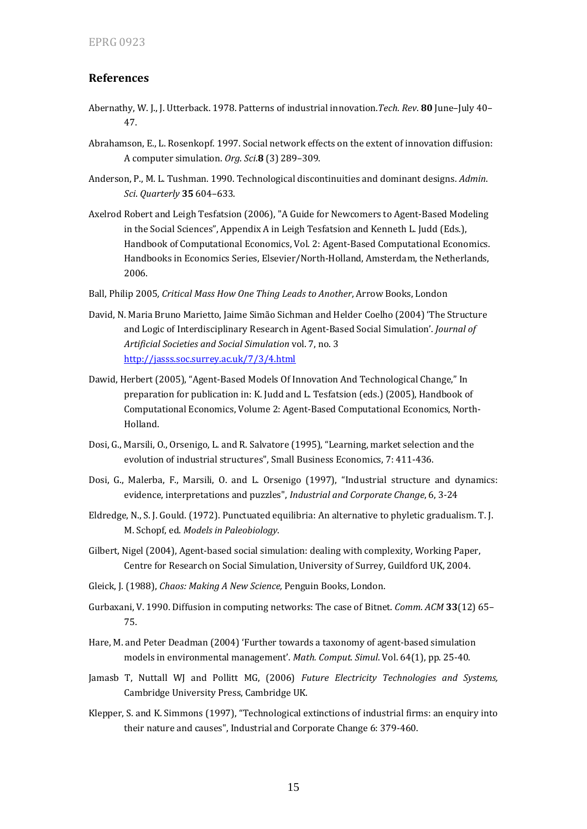#### **References**

- Abernathy, W. J., J. Utterback. 1978. Patterns of industrial innovation.*Tech*. *Rev*. **80** June–July 40– 47.
- Abrahamson, E., L. Rosenkopf. 1997. Social network effects on the extent of innovation diffusion: A computer simulation. *Org*. *Sci*.**8** (3) 289–309.
- Anderson, P., M. L. Tushman. 1990. Technological discontinuities and dominant designs. *Admin*. *Sci*. *Quarterly* **35** 604–633.
- Axelrod Robert and Leigh Tesfatsion (2006), "A Guide for Newcomers to Agent‐Based Modeling in the Social Sciences", Appendix A in Leigh Tesfatsion and Kenneth L. Judd (Eds.), Handbook of Computational Economics, Vol. 2: Agent-Based Computational Economics. Handbooks in Economics Series, Elsevier/North‐Holland, Amsterdam, the Netherlands, 2006.
- Ball, Philip 2005*, Critical Mass How One Thing Leads to Another*, Arrow Books, London
- David, N. Maria Bruno Marietto, Jaime Simão Sichman and Helder Coelho (2004) 'The Structure and Logic of Interdisciplinary Research in Agent‐Based Social Simulation'. *Journal of Artificial Societies and Social Simulation* vol. 7, no. 3 http://jasss.soc.surrey.ac.uk/7/3/4.html
- Dawid, Herbert (2005), "Agent‐Based Models Of Innovation And Technological Change," In preparation for publication in: K. Judd and L. Tesfatsion (eds.) (2005), Handbook of Computational Economics, Volume 2: Agent‐Based Computational Economics, North‐ Holland.
- Dosi, G., Marsili, O., Orsenigo, L. and R. Salvatore (1995), "Learning, market selection and the evolution of industrial structures", Small Business Economics, 7: 411‐436.
- Dosi, G., Malerba, F., Marsili, O. and L. Orsenigo (1997), "Industrial structure and dynamics: evidence, interpretations and puzzles", *Industrial and Corporate Change*, 6, 3‐24
- Eldredge, N., S. J. Gould. (1972). Punctuated equilibria: An alternative to phyletic gradualism. T. J. M. Schopf, ed. *Models in Paleobiology*.
- Gilbert, Nigel (2004), Agent‐based social simulation: dealing with complexity, Working Paper, Centre for Research on Social Simulation, University of Surrey, Guildford UK, 2004.
- Gleick, J. (1988), *Chaos: Making A New Science,* Penguin Books, London.
- Gurbaxani, V. 1990. Diffusion in computing networks: The case of Bitnet. *Comm*. *ACM* **33**(12) 65– 75.
- Hare, M. and Peter Deadman (2004) 'Further towards a taxonomy of agent‐based simulation models in environmental management'. *Math. Comput. Simul*. Vol. 64(1), pp. 25‐40.
- Jamasb T, Nuttall WJ and Pollitt MG, (2006) *Future Electricity Technologies and Systems,* Cambridge University Press, Cambridge UK.
- Klepper, S. and K. Simmons (1997), "Technological extinctions of industrial firms: an enquiry into their nature and causes", Industrial and Corporate Change 6: 379‐460.